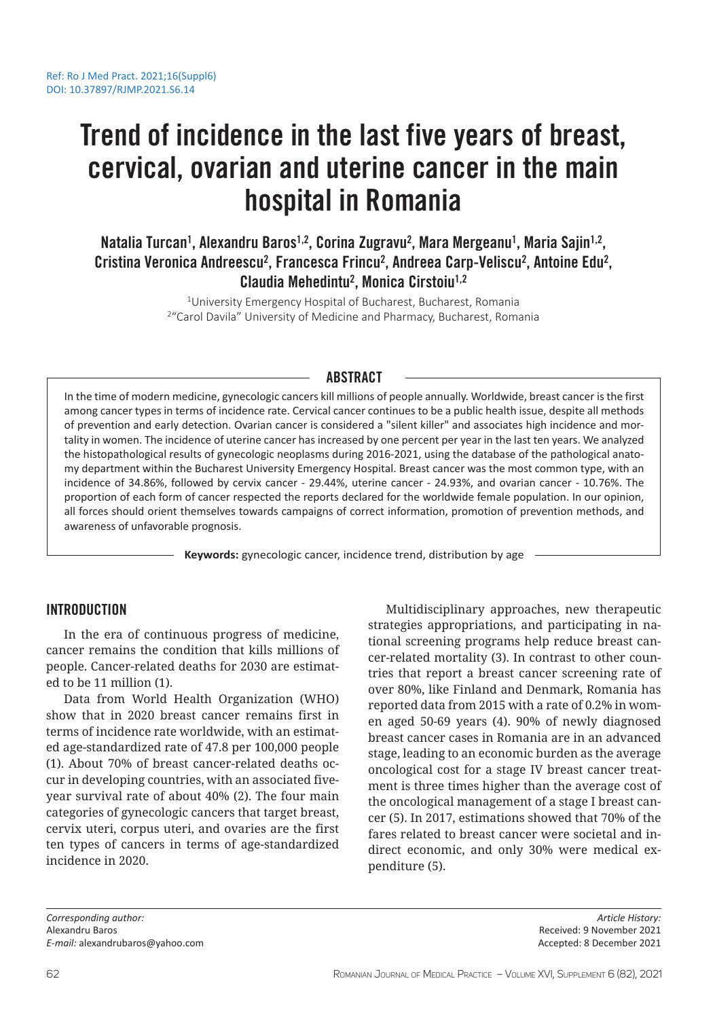# Trend of incidence in the last five years of breast, cervical, ovarian and uterine cancer in the main hospital in Romania

Natalia Turcan<sup>1</sup>, Alexandru Baros<sup>1,2</sup>, Corina Zugravu<sup>2</sup>, Mara Mergeanu<sup>1</sup>, Maria Sajin<sup>1,2</sup>, Cristina Veronica Andreescu<sup>2</sup>, Francesca Frincu<sup>2</sup>, Andreea Carp-Veliscu<sup>2</sup>, Antoine Edu<sup>2</sup>, Claudia Mehedintu<sup>2</sup>, Monica Cirstoiu<sup>1,2</sup>

> <sup>1</sup>University Emergency Hospital of Bucharest, Bucharest, Romania <sup>2</sup> "Carol Davila" University of Medicine and Pharmacy, Bucharest, Romania

# ABSTRACT

In the time of modern medicine, gynecologic cancers kill millions of people annually. Worldwide, breast cancer is the first among cancer types in terms of incidence rate. Cervical cancer continues to be a public health issue, despite all methods of prevention and early detection. Ovarian cancer is considered a "silent killer" and associates high incidence and mortality in women. The incidence of uterine cancer has increased by one percent per year in the last ten years. We analyzed the histopathological results of gynecologic neoplasms during 2016-2021, using the database of the pathological anatomy department within the Bucharest University Emergency Hospital. Breast cancer was the most common type, with an incidence of 34.86%, followed by cervix cancer - 29.44%, uterine cancer - 24.93%, and ovarian cancer - 10.76%. The proportion of each form of cancer respected the reports declared for the worldwide female population. In our opinion, all forces should orient themselves towards campaigns of correct information, promotion of prevention methods, and awareness of unfavorable prognosis.

**Keywords:** gynecologic cancer, incidence trend, distribution by age

## INTRODUCTION

In the era of continuous progress of medicine, cancer remains the condition that kills millions of people. Cancer-related deaths for 2030 are estimated to be 11 million (1).

Data from World Health Organization (WHO) show that in 2020 breast cancer remains first in terms of incidence rate worldwide, with an estimated age-standardized rate of 47.8 per 100,000 people (1). About 70% of breast cancer-related deaths occur in developing countries, with an associated fiveyear survival rate of about 40% (2). The four main categories of gynecologic cancers that target breast, cervix uteri, corpus uteri, and ovaries are the first ten types of cancers in terms of age-standardized incidence in 2020.

Multidisciplinary approaches, new therapeutic strategies appropriations, and participating in national screening programs help reduce breast cancer-related mortality (3). In contrast to other countries that report a breast cancer screening rate of over 80%, like Finland and Denmark, Romania has reported data from 2015 with a rate of 0.2% in women aged 50-69 years (4). 90% of newly diagnosed breast cancer cases in Romania are in an advanced stage, leading to an economic burden as the average oncological cost for a stage IV breast cancer treatment is three times higher than the average cost of the oncological management of a stage I breast cancer (5). In 2017, estimations showed that 70% of the fares related to breast cancer were societal and indirect economic, and only 30% were medical expenditure (5).

*Corresponding author:*  Alexandru Baros *E-mail:* alexandrubaros@yahoo.com

*Article History:* Received: 9 November 2021 Accepted: 8 December 2021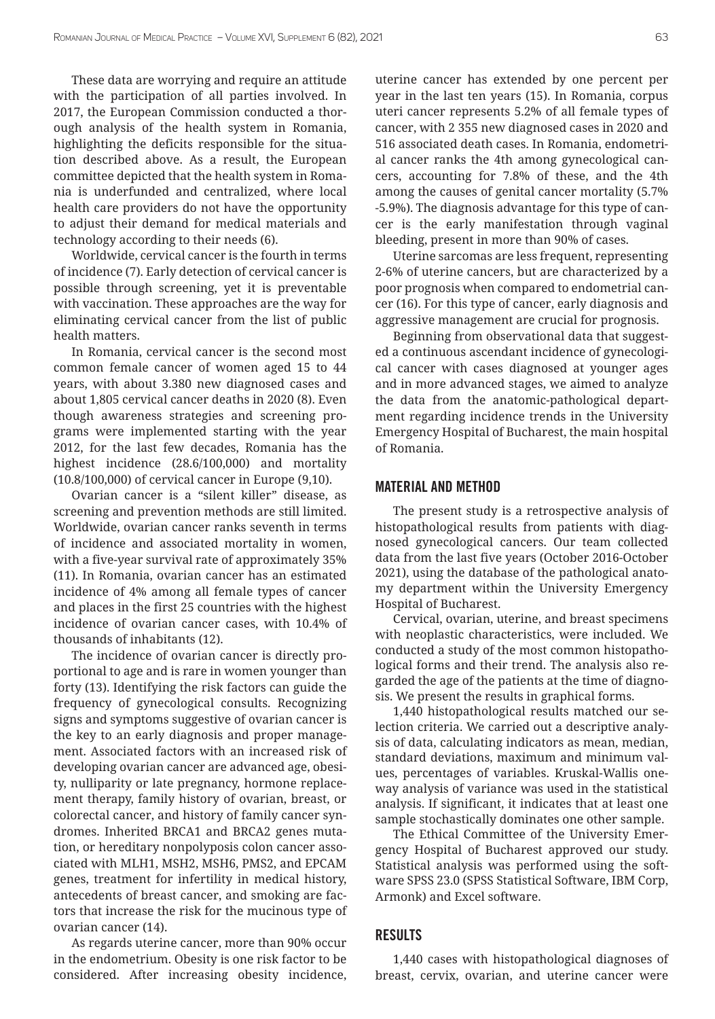These data are worrying and require an attitude with the participation of all parties involved. In 2017, the European Commission conducted a thorough analysis of the health system in Romania, highlighting the deficits responsible for the situation described above. As a result, the European committee depicted that the health system in Romania is underfunded and centralized, where local health care providers do not have the opportunity to adjust their demand for medical materials and technology according to their needs (6).

Worldwide, cervical cancer is the fourth in terms of incidence (7). Early detection of cervical cancer is possible through screening, yet it is preventable with vaccination. These approaches are the way for eliminating cervical cancer from the list of public health matters.

In Romania, cervical cancer is the second most common female cancer of women aged 15 to 44 years, with about 3.380 new diagnosed cases and about 1,805 cervical cancer deaths in 2020 (8). Even though awareness strategies and screening programs were implemented starting with the year 2012, for the last few decades, Romania has the highest incidence (28.6/100,000) and mortality (10.8/100,000) of cervical cancer in Europe (9,10).

Ovarian cancer is a "silent killer" disease, as screening and prevention methods are still limited. Worldwide, ovarian cancer ranks seventh in terms of incidence and associated mortality in women, with a five-year survival rate of approximately 35% (11). In Romania, ovarian cancer has an estimated incidence of 4% among all female types of cancer and places in the first 25 countries with the highest incidence of ovarian cancer cases, with 10.4% of thousands of inhabitants (12).

The incidence of ovarian cancer is directly proportional to age and is rare in women younger than forty (13). Identifying the risk factors can guide the frequency of gynecological consults. Recognizing signs and symptoms suggestive of ovarian cancer is the key to an early diagnosis and proper management. Associated factors with an increased risk of developing ovarian cancer are advanced age, obesity, nulliparity or late pregnancy, hormone replacement therapy, family history of ovarian, breast, or colorectal cancer, and history of family cancer syndromes. Inherited BRCA1 and BRCA2 genes mutation, or hereditary nonpolyposis colon cancer associated with MLH1, MSH2, MSH6, PMS2, and EPCAM genes, treatment for infertility in medical history, antecedents of breast cancer, and smoking are factors that increase the risk for the mucinous type of ovarian cancer (14).

As regards uterine cancer, more than 90% occur in the endometrium. Obesity is one risk factor to be considered. After increasing obesity incidence, uterine cancer has extended by one percent per year in the last ten years (15). In Romania, corpus uteri cancer represents 5.2% of all female types of cancer, with 2 355 new diagnosed cases in 2020 and 516 associated death cases. In Romania, endometrial cancer ranks the 4th among gynecological cancers, accounting for 7.8% of these, and the 4th among the causes of genital cancer mortality (5.7% -5.9%). The diagnosis advantage for this type of cancer is the early manifestation through vaginal bleeding, present in more than 90% of cases.

Uterine sarcomas are less frequent, representing 2-6% of uterine cancers, but are characterized by a poor prognosis when compared to endometrial cancer (16). For this type of cancer, early diagnosis and aggressive management are crucial for prognosis.

Beginning from observational data that suggested a continuous ascendant incidence of gynecological cancer with cases diagnosed at younger ages and in more advanced stages, we aimed to analyze the data from the anatomic-pathological department regarding incidence trends in the University Emergency Hospital of Bucharest, the main hospital of Romania.

#### MATERIAL AND METHOD

The present study is a retrospective analysis of histopathological results from patients with diagnosed gynecological cancers. Our team collected data from the last five years (October 2016-October 2021), using the database of the pathological anatomy department within the University Emergency Hospital of Bucharest.

Cervical, ovarian, uterine, and breast specimens with neoplastic characteristics, were included. We conducted a study of the most common histopathological forms and their trend. The analysis also regarded the age of the patients at the time of diagnosis. We present the results in graphical forms.

1,440 histopathological results matched our selection criteria. We carried out a descriptive analysis of data, calculating indicators as mean, median, standard deviations, maximum and minimum values, percentages of variables. Kruskal-Wallis oneway analysis of variance was used in the statistical analysis. If significant, it indicates that at least one sample stochastically dominates one other sample.

The Ethical Committee of the University Emergency Hospital of Bucharest approved our study. Statistical analysis was performed using the software SPSS 23.0 (SPSS Statistical Software, IBM Corp, Armonk) and Excel software.

## RESULTS

1,440 cases with histopathological diagnoses of breast, cervix, ovarian, and uterine cancer were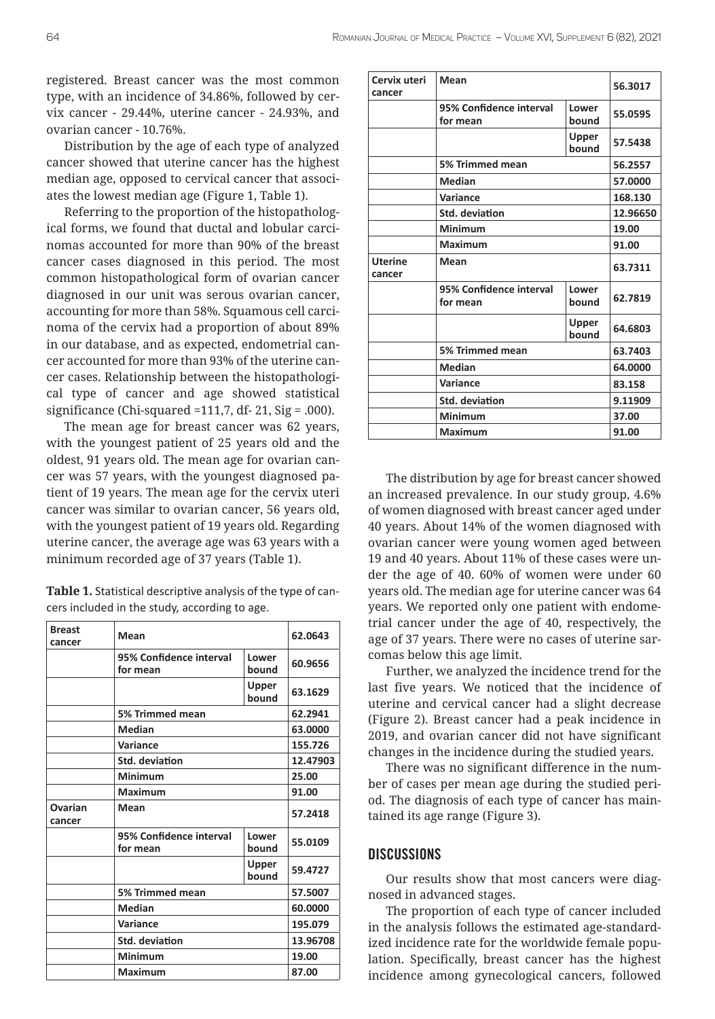registered. Breast cancer was the most common type, with an incidence of 34.86%, followed by cervix cancer - 29.44%, uterine cancer - 24.93%, and ovarian cancer - 10.76%.

Distribution by the age of each type of analyzed cancer showed that uterine cancer has the highest median age, opposed to cervical cancer that associates the lowest median age (Figure 1, Table 1).

Referring to the proportion of the histopathological forms, we found that ductal and lobular carcinomas accounted for more than 90% of the breast cancer cases diagnosed in this period. The most common histopathological form of ovarian cancer diagnosed in our unit was serous ovarian cancer, accounting for more than 58%. Squamous cell carcinoma of the cervix had a proportion of about 89% in our database, and as expected, endometrial cancer accounted for more than 93% of the uterine cancer cases. Relationship between the histopathological type of cancer and age showed statistical significance (Chi-squared =111,7, df- 21, Sig = .000).

The mean age for breast cancer was 62 years, with the youngest patient of 25 years old and the oldest, 91 years old. The mean age for ovarian cancer was 57 years, with the youngest diagnosed patient of 19 years. The mean age for the cervix uteri cancer was similar to ovarian cancer, 56 years old, with the youngest patient of 19 years old. Regarding uterine cancer, the average age was 63 years with a minimum recorded age of 37 years (Table 1).

| Table 1. Statistical descriptive analysis of the type of can- |
|---------------------------------------------------------------|
| cers included in the study, according to age.                 |

| <b>Breast</b><br>cancer                 | Mean                                |                | 62.0643  |
|-----------------------------------------|-------------------------------------|----------------|----------|
|                                         | 95% Confidence interval<br>for mean | Lower<br>bound | 60.9656  |
|                                         |                                     | Upper<br>bound | 63.1629  |
|                                         | 5% Trimmed mean                     |                | 62.2941  |
|                                         | <b>Median</b>                       |                | 63.0000  |
|                                         | Variance                            |                | 155.726  |
| <b>Std. deviation</b><br><b>Minimum</b> |                                     |                | 12.47903 |
|                                         |                                     | 25.00          |          |
|                                         | Maximum                             |                | 91.00    |
| Ovarian<br>cancer                       | Mean                                |                | 57.2418  |
|                                         | 95% Confidence interval<br>for mean | Lower<br>bound | 55.0109  |
|                                         |                                     | Upper<br>bound | 59.4727  |
|                                         | 5% Trimmed mean                     |                | 57.5007  |
|                                         | <b>Median</b>                       |                | 60.0000  |
|                                         | Variance                            |                | 195.079  |
|                                         | <b>Std. deviation</b>               |                | 13.96708 |
|                                         | <b>Minimum</b>                      |                | 19.00    |
|                                         | <b>Maximum</b>                      |                | 87.00    |

| Cervix uteri<br>cancer   | Mean                                |                       | 56.3017  |
|--------------------------|-------------------------------------|-----------------------|----------|
|                          | 95% Confidence interval<br>for mean | Lower<br>bound        | 55.0595  |
|                          |                                     | <b>Upper</b><br>bound | 57.5438  |
|                          | 5% Trimmed mean                     |                       | 56.2557  |
|                          | <b>Median</b>                       |                       | 57.0000  |
|                          | Variance                            |                       | 168.130  |
|                          | Std. deviation                      |                       | 12.96650 |
|                          | <b>Minimum</b>                      |                       | 19.00    |
|                          | Maximum                             |                       | 91.00    |
| <b>Uterine</b><br>cancer | Mean                                |                       | 63.7311  |
|                          | 95% Confidence interval<br>for mean | Lower<br>bound        | 62.7819  |
|                          |                                     | Upper<br>bound        | 64.6803  |
|                          | 5% Trimmed mean                     |                       | 63.7403  |
|                          | Median                              |                       | 64.0000  |
|                          | Variance                            |                       | 83.158   |
|                          | <b>Std. deviation</b>               |                       | 9.11909  |
|                          | Minimum                             |                       | 37.00    |
|                          | Maximum                             |                       | 91.00    |

The distribution by age for breast cancer showed an increased prevalence. In our study group, 4.6% of women diagnosed with breast cancer aged under 40 years. About 14% of the women diagnosed with ovarian cancer were young women aged between 19 and 40 years. About 11% of these cases were under the age of 40. 60% of women were under 60 years old. The median age for uterine cancer was 64 years. We reported only one patient with endometrial cancer under the age of 40, respectively, the age of 37 years. There were no cases of uterine sarcomas below this age limit.

Further, we analyzed the incidence trend for the last five years. We noticed that the incidence of uterine and cervical cancer had a slight decrease (Figure 2). Breast cancer had a peak incidence in 2019, and ovarian cancer did not have significant changes in the incidence during the studied years.

There was no significant difference in the number of cases per mean age during the studied period. The diagnosis of each type of cancer has maintained its age range (Figure 3).

## **DISCUSSIONS**

Our results show that most cancers were diagnosed in advanced stages.

The proportion of each type of cancer included in the analysis follows the estimated age-standardized incidence rate for the worldwide female population. Specifically, breast cancer has the highest incidence among gynecological cancers, followed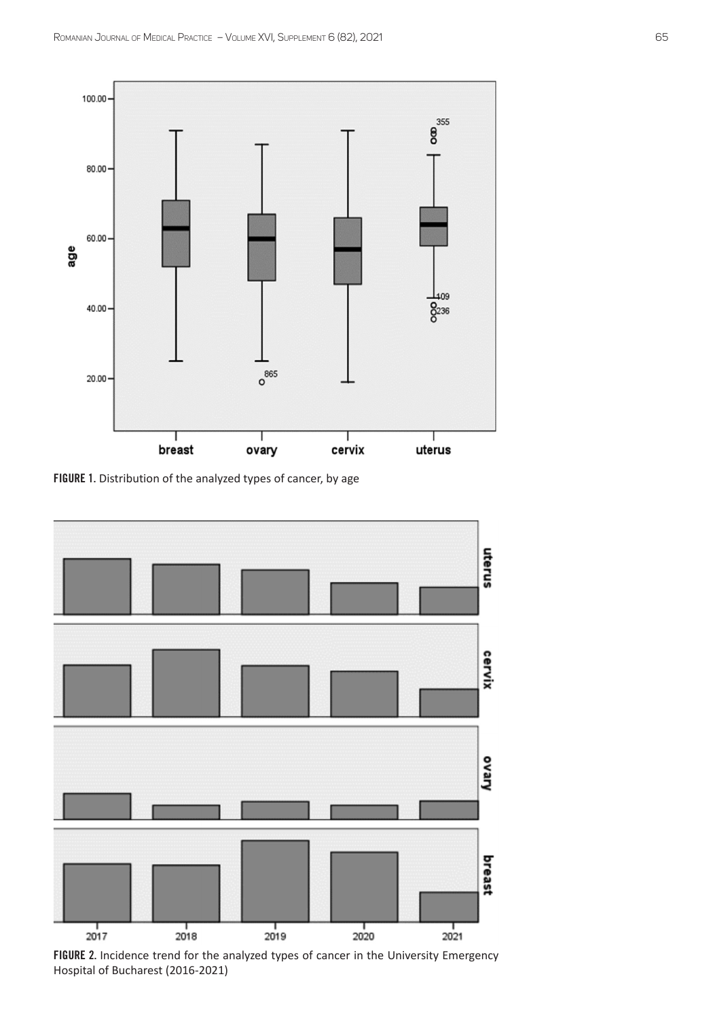

FIGURE 1. Distribution of the analyzed types of cancer, by age



FIGURE 2. Incidence trend for the analyzed types of cancer in the University Emergency Hospital of Bucharest (2016-2021)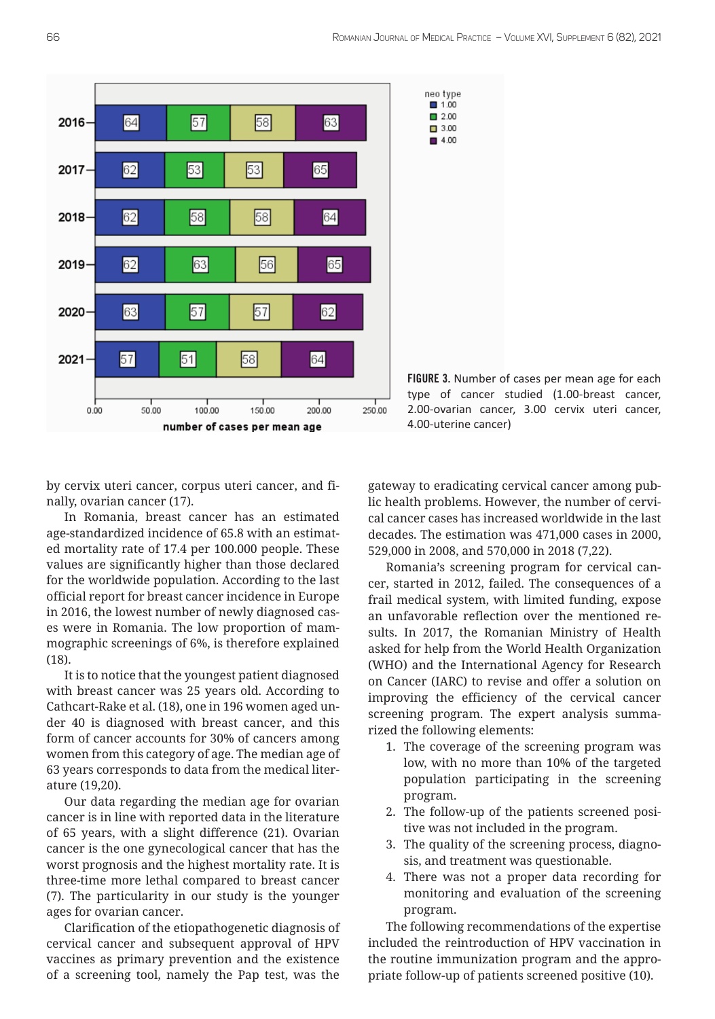

FIGURE 3. Number of cases per mean age for each type of cancer studied (1.00-breast cancer, 2.00-ovarian cancer, 3.00 cervix uteri cancer, 4.00-uterine cancer)

by cervix uteri cancer, corpus uteri cancer, and finally, ovarian cancer (17).

In Romania, breast cancer has an estimated age-standardized incidence of 65.8 with an estimated mortality rate of 17.4 per 100.000 people. These values are significantly higher than those declared for the worldwide population. According to the last official report for breast cancer incidence in Europe in 2016, the lowest number of newly diagnosed cases were in Romania. The low proportion of mammographic screenings of 6%, is therefore explained (18).

It is to notice that the youngest patient diagnosed with breast cancer was 25 years old. According to Cathcart-Rake et al. (18), one in 196 women aged under 40 is diagnosed with breast cancer, and this form of cancer accounts for 30% of cancers among women from this category of age. The median age of 63 years corresponds to data from the medical literature (19,20).

Our data regarding the median age for ovarian cancer is in line with reported data in the literature of 65 years, with a slight difference (21). Ovarian cancer is the one gynecological cancer that has the worst prognosis and the highest mortality rate. It is three-time more lethal compared to breast cancer (7). The particularity in our study is the younger ages for ovarian cancer.

Clarification of the etiopathogenetic diagnosis of cervical cancer and subsequent approval of HPV vaccines as primary prevention and the existence of a screening tool, namely the Pap test, was the

gateway to eradicating cervical cancer among public health problems. However, the number of cervical cancer cases has increased worldwide in the last decades. The estimation was 471,000 cases in 2000, 529,000 in 2008, and 570,000 in 2018 (7,22).

Romania's screening program for cervical cancer, started in 2012, failed. The consequences of a frail medical system, with limited funding, expose an unfavorable reflection over the mentioned results. In 2017, the Romanian Ministry of Health asked for help from the World Health Organization (WHO) and the International Agency for Research on Cancer (IARC) to revise and offer a solution on improving the efficiency of the cervical cancer screening program. The expert analysis summarized the following elements:

- 1. The coverage of the screening program was low, with no more than 10% of the targeted population participating in the screening program.
- 2. The follow-up of the patients screened positive was not included in the program.
- 3. The quality of the screening process, diagnosis, and treatment was questionable.
- 4. There was not a proper data recording for monitoring and evaluation of the screening program.

The following recommendations of the expertise included the reintroduction of HPV vaccination in the routine immunization program and the appropriate follow-up of patients screened positive (10).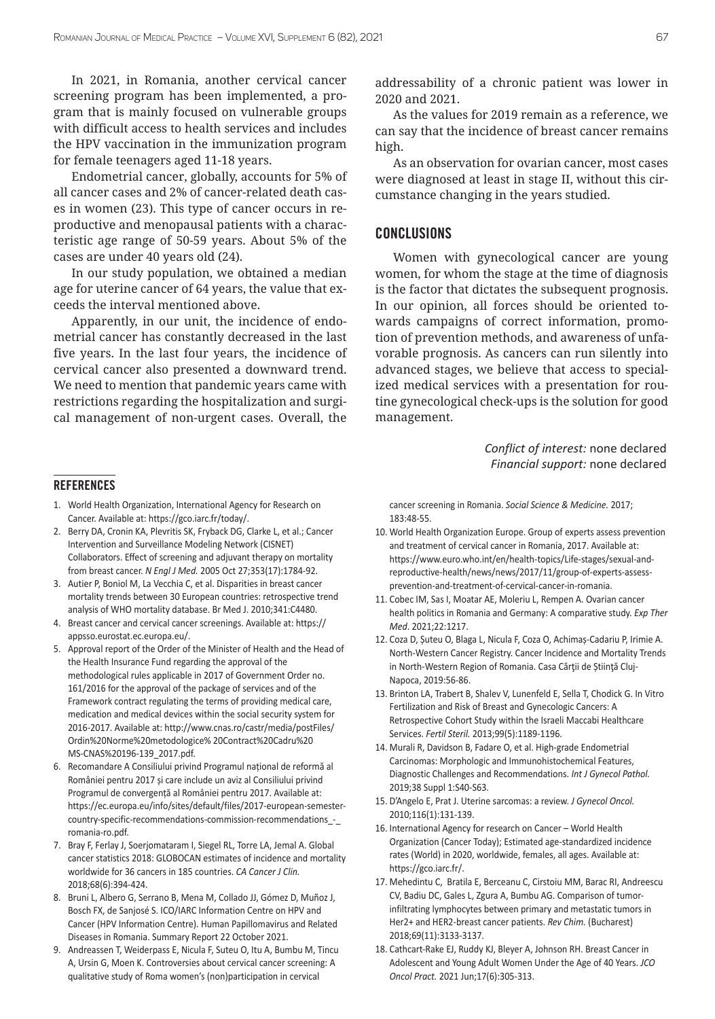In 2021, in Romania, another cervical cancer screening program has been implemented, a program that is mainly focused on vulnerable groups with difficult access to health services and includes the HPV vaccination in the immunization program for female teenagers aged 11-18 years.

Endometrial cancer, globally, accounts for 5% of all cancer cases and 2% of cancer-related death cases in women (23). This type of cancer occurs in reproductive and menopausal patients with a characteristic age range of 50-59 years. About 5% of the cases are under 40 years old (24).

In our study population, we obtained a median age for uterine cancer of 64 years, the value that exceeds the interval mentioned above.

Apparently, in our unit, the incidence of endometrial cancer has constantly decreased in the last five years. In the last four years, the incidence of cervical cancer also presented a downward trend. We need to mention that pandemic years came with restrictions regarding the hospitalization and surgical management of non-urgent cases. Overall, the

**REFERENCES** 

- 1. World Health Organization, International Agency for Research on Cancer. Available at: https://gco.iarc.fr/today/.
- 2. Berry DA, Cronin KA, Plevritis SK, Fryback DG, Clarke L, et al.; Cancer Intervention and Surveillance Modeling Network (CISNET) Collaborators. Effect of screening and adjuvant therapy on mortality from breast cancer. *N Engl J Med.* 2005 Oct 27;353(17):1784-92.
- 3. Autier P, Boniol M, La Vecchia C, et al. Disparities in breast cancer mortality trends between 30 European countries: retrospective trend analysis of WHO mortality database. Br Med J. 2010;341:C4480.
- 4. Breast cancer and cervical cancer screenings. Available at: https:// appsso.eurostat.ec.europa.eu/.
- 5. Approval report of the Order of the Minister of Health and the Head of the Health Insurance Fund regarding the approval of the methodological rules applicable in 2017 of Government Order no. 161/2016 for the approval of the package of services and of the Framework contract regulating the terms of providing medical care, medication and medical devices within the social security system for 2016-2017. Available at: http://www.cnas.ro/castr/media/postFiles/ Ordin%20Norme%20metodologice% 20Contract%20Cadru%20 MS-CNAS%20196-139\_2017.pdf.
- 6. Recomandare A Consiliului privind Programul național de reformă al României pentru 2017 și care include un aviz al Consiliului privind Programul de convergență al României pentru 2017. Available at: https://ec.europa.eu/info/sites/default/files/2017-european-semestercountry-specific-recommendations-commission-recommendations\_-\_ romania-ro.pdf.
- 7. Bray F, Ferlay J, Soerjomataram I, Siegel RL, Torre LA, Jemal A. Global cancer statistics 2018: GLOBOCAN estimates of incidence and mortality worldwide for 36 cancers in 185 countries. *CA Cancer J Clin.*  2018;68(6):394-424.
- 8. Bruni L, Albero G, Serrano B, Mena M, Collado JJ, Gómez D, Muñoz J, Bosch FX, de Sanjosé S. ICO/IARC Information Centre on HPV and Cancer (HPV Information Centre). Human Papillomavirus and Related Diseases in Romania. Summary Report 22 October 2021.
- 9. Andreassen T, Weiderpass E, Nicula F, Suteu O, Itu A, Bumbu M, Tincu A, Ursin G, Moen K. Controversies about cervical cancer screening: A qualitative study of Roma women's (non)participation in cervical

addressability of a chronic patient was lower in 2020 and 2021.

As the values for 2019 remain as a reference, we can say that the incidence of breast cancer remains high.

As an observation for ovarian cancer, most cases were diagnosed at least in stage II, without this circumstance changing in the years studied.

## CONCLUSIONS

Women with gynecological cancer are young women, for whom the stage at the time of diagnosis is the factor that dictates the subsequent prognosis. In our opinion, all forces should be oriented towards campaigns of correct information, promotion of prevention methods, and awareness of unfavorable prognosis. As cancers can run silently into advanced stages, we believe that access to specialized medical services with a presentation for routine gynecological check-ups is the solution for good management.

> *Conflict of interest:* none declared *Financial support:* none declared

cancer screening in Romania. *Social Science & Medicine.* 2017; 183:48-55.

- 10. World Health Organization Europe. Group of experts assess prevention and treatment of cervical cancer in Romania, 2017. Available at: https://www.euro.who.int/en/health-topics/Life-stages/sexual-andreproductive-health/news/news/2017/11/group-of-experts-assessprevention-and-treatment-of-cervical-cancer-in-romania.
- 11. Cobec IM, Sas I, Moatar AE, Moleriu L, Rempen A. Ovarian cancer health politics in Romania and Germany: A comparative study. *Exp Ther Med*. 2021;22:1217.
- 12. Coza D, Șuteu O, Blaga L, Nicula F, Coza O, Achimaș-Cadariu P, Irimie A. North-Western Cancer Registry. Cancer Incidence and Mortality Trends in North-Western Region of Romania. Casa Cărţii de Știinţă Cluj-Napoca, 2019:56-86.
- 13. Brinton LA, Trabert B, Shalev V, Lunenfeld E, Sella T, Chodick G. In Vitro Fertilization and Risk of Breast and Gynecologic Cancers: A Retrospective Cohort Study within the Israeli Maccabi Healthcare Services. *Fertil Steril.* 2013;99(5):1189-1196.
- 14. Murali R, Davidson B, Fadare O, et al. High-grade Endometrial Carcinomas: Morphologic and Immunohistochemical Features, Diagnostic Challenges and Recommendations. *Int J Gynecol Pathol.*  2019;38 Suppl 1:S40-S63.
- 15. D'Angelo E, Prat J. Uterine sarcomas: a review. *J Gynecol Oncol.*  2010;116(1):131-139.
- 16. International Agency for research on Cancer World Health Organization (Cancer Today); Estimated age-standardized incidence rates (World) in 2020, worldwide, females, all ages. Available at: https://gco.iarc.fr/.
- 17. Mehedintu C, Bratila E, Berceanu C, Cirstoiu MM, Barac RI, Andreescu CV, Badiu DC, Gales L, Zgura A, Bumbu AG. Comparison of tumorinfiltrating lymphocytes between primary and metastatic tumors in Her2+ and HER2-breast cancer patients. *Rev Chim.* (Bucharest) 2018;69(11):3133-3137.
- 18. Cathcart-Rake EJ, Ruddy KJ, Bleyer A, Johnson RH. Breast Cancer in Adolescent and Young Adult Women Under the Age of 40 Years. *JCO Oncol Pract.* 2021 Jun;17(6):305-313.